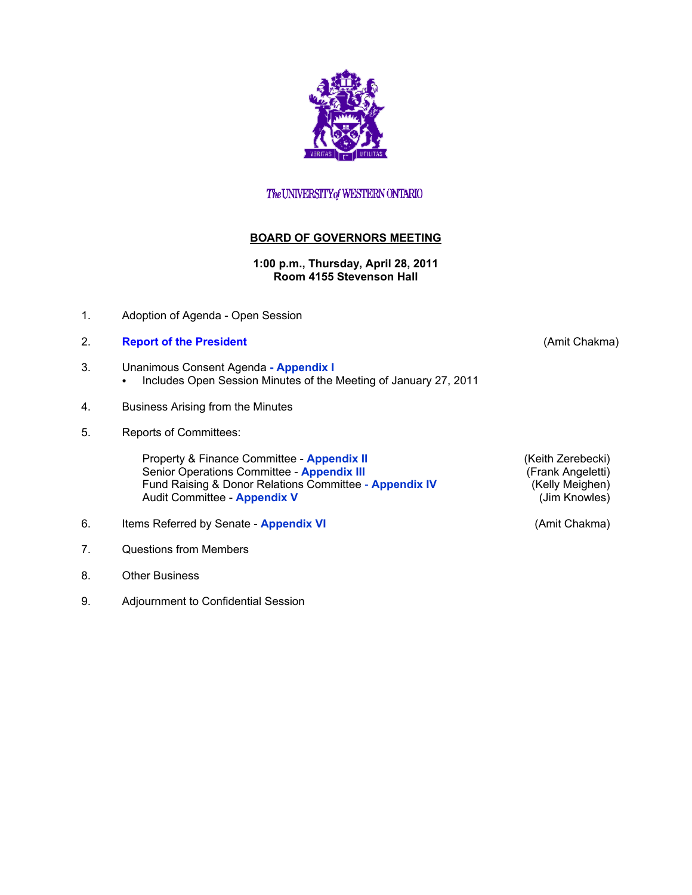

## The UNIVERSITY of WESTERN ONTARIO

## **BOARD OF GOVERNORS MEETING**

**1:00 p.m., Thursday, April 28, 2011 Room 4155 Stevenson Hall** 

1. Adoption of Agenda - Open Session

## 2. **[Report of the President](http://www.uwo.ca/univsec/board/minutes/2011/r1104ac.pdf)** (Amit Chakma)

- 3. Unanimous Consent Agenda  **[Appendix I](http://www.uwo.ca/univsec/board/minutes/2011/r1104consent.pdf)**
	- Includes Open Session Minutes of the Meeting of January 27, 2011
- 4. Business Arising from the Minutes
- 5. Reports of Committees:

Property & Finance Committee - **[Appendix II](http://www.uwo.ca/univsec/board/minutes/2011/r1104pf.pdf)** (Keith Zerebecki)<br>
Senior Operations Committee - Appendix III (Frank Angeletti) Senior Operations Committee - **[Appendix III](http://www.uwo.ca/univsec/board/minutes/2011/r1104srops.pdf)** (Frank Angeletti)<br>
Fund Raising & Donor Relations Committee - **Appendix IV** (Kelly Meighen) Fund Raising & Donor Relations Committee - **[Appendix IV](http://www.uwo.ca/univsec/board/minutes/2011/r1104frdr.pdf)** (Kelly Meighen)<br>Audit Committee - **Appendix V** (Jim Knowles) **Audit Committee - [Appendix V](http://www.uwo.ca/univsec/board/minutes/2011/r1104aud.pdf)** 

- 6. Items Referred by Senate **[Appendix VI](http://www.uwo.ca/univsec/board/minutes/2011/r1104sen.pdf)** (Amit Chakma)
- 7. Questions from Members
- 8. Other Business
- 9. Adjournment to Confidential Session